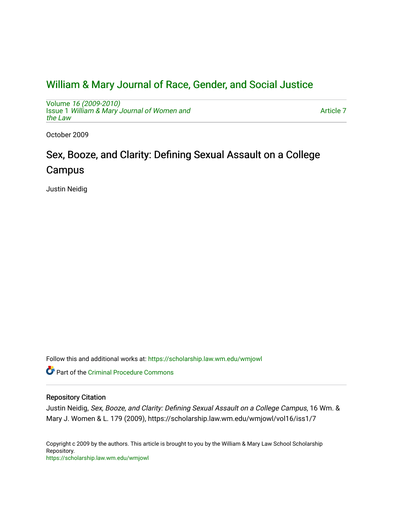## [William & Mary Journal of Race, Gender, and Social Justice](https://scholarship.law.wm.edu/wmjowl)

Volume [16 \(2009-2010\)](https://scholarship.law.wm.edu/wmjowl/vol16)  Issue 1 [William & Mary Journal of Women and](https://scholarship.law.wm.edu/wmjowl/vol16/iss1) [the Law](https://scholarship.law.wm.edu/wmjowl/vol16/iss1)

[Article 7](https://scholarship.law.wm.edu/wmjowl/vol16/iss1/7) 

October 2009

# Sex, Booze, and Clarity: Defining Sexual Assault on a College Campus

Justin Neidig

Follow this and additional works at: [https://scholarship.law.wm.edu/wmjowl](https://scholarship.law.wm.edu/wmjowl?utm_source=scholarship.law.wm.edu%2Fwmjowl%2Fvol16%2Fiss1%2F7&utm_medium=PDF&utm_campaign=PDFCoverPages) 

**P** Part of the Criminal Procedure Commons

## Repository Citation

Justin Neidig, Sex, Booze, and Clarity: Defining Sexual Assault on a College Campus, 16 Wm. & Mary J. Women & L. 179 (2009), https://scholarship.law.wm.edu/wmjowl/vol16/iss1/7

Copyright c 2009 by the authors. This article is brought to you by the William & Mary Law School Scholarship Repository. <https://scholarship.law.wm.edu/wmjowl>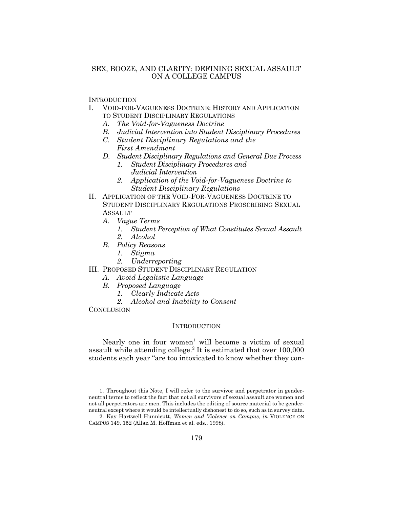## SEX, BOOZE, AND CLARITY: DEFINING SEXUAL ASSAULT ON A COLLEGE CAMPUS

**INTRODUCTION** 

- I. VOID-FOR-VAGUENESS DOCTRINE: HISTORY AND APPLICATION TO STUDENT DISCIPLINARY REGULATIONS
	- *A. The Void-for-Vagueness Doctrine*
	- *B. Judicial Intervention into Student Disciplinary Procedures*
	- *C. Student Disciplinary Regulations and the First Amendment*
	- *D. Student Disciplinary Regulations and General Due Process 1. Student Disciplinary Procedures and*
		- *Judicial Intervention*
		- *2. Application of the Void-for-Vagueness Doctrine to Student Disciplinary Regulations*
- II. APPLICATION OF THE VOID-FOR-VAGUENESS DOCTRINE TO STUDENT DISCIPLINARY REGULATIONS PROSCRIBING SEXUAL **ASSAULT** 
	- *A. Vague Terms*
		- *1. Student Perception of What Constitutes Sexual Assault 2. Alcohol*
	- *B. Policy Reasons*
		- *1. Stigma*
		- *2. Underreporting*
- III. PROPOSED STUDENT DISCIPLINARY REGULATION
	- *A. Avoid Legalistic Language*
	- *B. Proposed Language*
		- *1. Clearly Indicate Acts*
		- *2. Alcohol and Inability to Consent*

**CONCLUSION** 

#### INTRODUCTION

Nearly one in four women<sup>1</sup> will become a victim of sexual assault while attending college.<sup>2</sup> It is estimated that over 100,000 students each year "are too intoxicated to know whether they con-

<sup>1.</sup> Throughout this Note, I will refer to the survivor and perpetrator in genderneutral terms to reflect the fact that not all survivors of sexual assault are women and not all perpetrators are men. This includes the editing of source material to be genderneutral except where it would be intellectually dishonest to do so, such as in survey data.

<sup>2.</sup> Kay Hartwell Hunnicutt, *Women and Violence on Campus*, *in* VIOLENCE ON CAMPUS 149, 152 (Allan M. Hoffman et al. eds., 1998).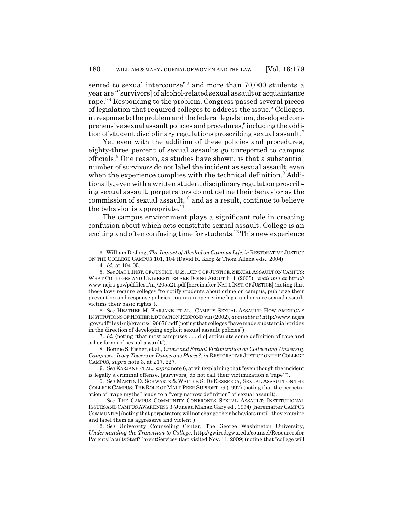sented to sexual intercourse"<sup>3</sup> and more than 70,000 students a year are "[survivors] of alcohol-related sexual assault or acquaintance rape."<sup>4</sup> Responding to the problem, Congress passed several pieces of legislation that required colleges to address the issue.<sup>5</sup> Colleges, in response to the problem and the federal legislation, developed comprehensive sexual assault policies and procedures,<sup>6</sup> including the addition of student disciplinary regulations proscribing sexual assault.<sup>7</sup>

Yet even with the addition of these policies and procedures, eighty-three percent of sexual assaults go unreported to campus officials.<sup>8</sup> One reason, as studies have shown, is that a substantial number of survivors do not label the incident as sexual assault, even when the experience complies with the technical definition.<sup>9</sup> Additionally, even with a written student disciplinary regulation proscribing sexual assault, perpetrators do not define their behavior as the commission of sexual assault,10 and as a result, continue to believe the behavior is appropriate. $^{11}$ 

The campus environment plays a significant role in creating confusion about which acts constitute sexual assault. College is an exciting and often confusing time for students.<sup>12</sup> This new experience

6. *See* HEATHER M. KARJANE ET AL., CAMPUS SEXUAL ASSAULT: HOW AMERICA'S INSTITUTIONS OF HIGHER EDUCATION RESPOND viii (2002), *available at* http://www.ncjrs .gov/pdffiles1/nij/grants/196676.pdf (noting that colleges "have made substantial strides in the direction of developing explicit sexual assault policies").

7. *Id.* (noting "that most campuses . . . d[o] articulate some definition of rape and other forms of sexual assault").

8. Bonnie S. Fisher, et al., *Crime and Sexual Victimization on College and University Campuses: Ivory Towers or Dangerous Places?*, *in* RESTORATIVE JUSTICE ON THE COLLEGE CAMPUS, *supra* note 3, at 217, 227.

<sup>3.</sup> William DeJong, *The Impact of Alcohol on Campus Life*, *in* RESTORATIVE JUSTICE ON THE COLLEGE CAMPUS 101, 104 (David R. Karp & Thom Allena eds., 2004).

<sup>4.</sup> *Id.* at 104-05.

<sup>5.</sup> *See* NAT'L INST. OF JUSTICE, U.S. DEP'T OF JUSTICE, SEXUAL ASSAULT ON CAMPUS: WHAT COLLEGES AND UNIVERSITIES ARE DOING ABOUT IT 1 (2005), *available at* http:// www.ncjrs.gov/pdffiles1/nij/205521.pdf [hereinafter NAT'L INST. OF JUSTICE] (noting that these laws require colleges "to notify students about crime on campus, publicize their prevention and response policies, maintain open crime logs, and ensure sexual assault victims their basic rights").

<sup>9.</sup> *See* KARJANE ET AL., *supra* note 6, at vii (explaining that "even though the incident is legally a criminal offense, [survivors] do not call their victimization a 'rape' ").

<sup>10.</sup> *See* MARTIN D. SCHWARTZ & WALTER S. DEKESEREDY, SEXUAL ASSAULT ON THE COLLEGE CAMPUS: THE ROLE OF MALE PEER SUPPORT 79 (1997) (noting that the perpetuation of "rape myths" leads to a "very narrow definition" of sexual assault).

<sup>11.</sup> *See* THE CAMPUS COMMUNITY CONFRONTS SEXUAL ASSAULT: INSTITUTIONAL ISSUES AND CAMPUS AWARENESS 3 (Juneau Mahan Gary ed., 1994) [hereinafter CAMPUS COMMUNITY] (noting that perpetrators will not change their behaviors until "they examine and label them as aggressive and violent").

<sup>12.</sup> *See* University Counseling Center, The George Washington University, *Understanding the Transition to College*, http://gwired.gwu.edu/counsel/Resourcesfor ParentsFacultyStaff/ParentServices (last visited Nov. 11, 2009) (noting that "college will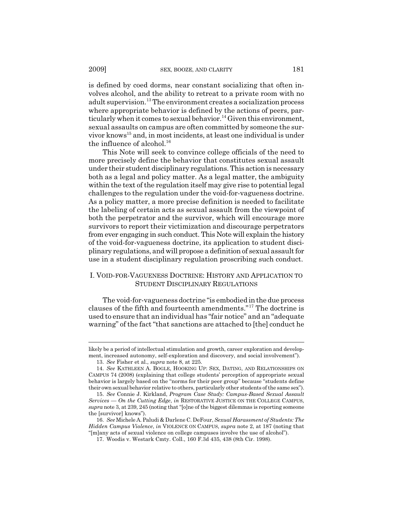is defined by coed dorms, near constant socializing that often involves alcohol, and the ability to retreat to a private room with no adult supervision.<sup>13</sup> The environment creates a socialization process where appropriate behavior is defined by the actions of peers, particularly when it comes to sexual behavior.<sup>14</sup> Given this environment, sexual assaults on campus are often committed by someone the survivor knows<sup>15</sup> and, in most incidents, at least one individual is under the influence of alcohol. $16$ 

This Note will seek to convince college officials of the need to more precisely define the behavior that constitutes sexual assault under their student disciplinary regulations. This action is necessary both as a legal and policy matter. As a legal matter, the ambiguity within the text of the regulation itself may give rise to potential legal challenges to the regulation under the void-for-vagueness doctrine. As a policy matter, a more precise definition is needed to facilitate the labeling of certain acts as sexual assault from the viewpoint of both the perpetrator and the survivor, which will encourage more survivors to report their victimization and discourage perpetrators from ever engaging in such conduct. This Note will explain the history of the void-for-vagueness doctrine, its application to student disciplinary regulations, and will propose a definition of sexual assault for use in a student disciplinary regulation proscribing such conduct.

## I. VOID-FOR-VAGUENESS DOCTRINE: HISTORY AND APPLICATION TO STUDENT DISCIPLINARY REGULATIONS

The void-for-vagueness doctrine "is embodied in the due process clauses of the fifth and fourteenth amendments."17 The doctrine is used to ensure that an individual has "fair notice" and an "adequate warning" of the fact "that sanctions are attached to [the] conduct he

likely be a period of intellectual stimulation and growth, career exploration and development, increased autonomy, self-exploration and discovery, and social involvement").

<sup>13.</sup> *See* Fisher et al., *supra* note 8, at 225.

<sup>14.</sup> *See* KATHLEEN A. BOGLE, HOOKING UP: SEX, DATING, AND RELATIONSHIPS ON CAMPUS 74 (2008) (explaining that college students' perception of appropriate sexual behavior is largely based on the "norms for their peer group" because "students define their own sexual behavior relative to others, particularly other students of the same sex").

<sup>15.</sup> *See* Connie J. Kirkland, *Program Case Study: Campus-Based Sexual Assault Services — On the Cutting Edge*, *in* RESTORATIVE JUSTICE ON THE COLLEGE CAMPUS, *supra* note 3, at 239, 245 (noting that "[o]ne of the biggest dilemmas is reporting someone the [survivor] knows").

<sup>16.</sup> *See* Michele A. Paludi & Darlene C. DeFour, *Sexual Harassment of Students: The Hidden Campus Violence*, *in* VIOLENCE ON CAMPUS, *supra* note 2, at 187 (noting that "[m]any acts of sexual violence on college campuses involve the use of alcohol").

<sup>17.</sup> Woodis v. Westark Cmty. Coll., 160 F.3d 435, 438 (8th Cir. 1998).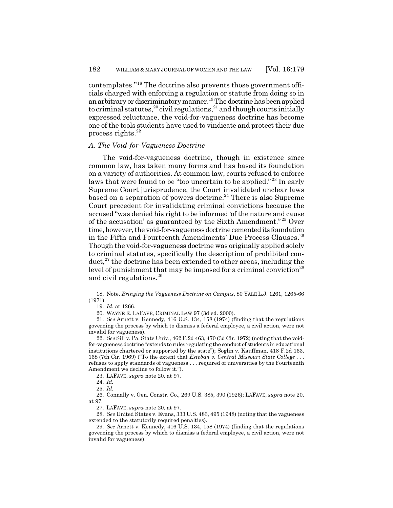contemplates."18 The doctrine also prevents those government officials charged with enforcing a regulation or statute from doing so in an arbitrary or discriminatory manner.<sup>19</sup> The doctrine has been applied to criminal statutes, $^{20}\,$ civil regulations, $^{21}$  and though courts initially expressed reluctance, the void-for-vagueness doctrine has become one of the tools students have used to vindicate and protect their due process rights. $^{22}$ 

## *A. The Void-for-Vagueness Doctrine*

The void-for-vagueness doctrine, though in existence since common law, has taken many forms and has based its foundation on a variety of authorities. At common law, courts refused to enforce laws that were found to be "too uncertain to be applied."<sup>23</sup> In early Supreme Court jurisprudence, the Court invalidated unclear laws based on a separation of powers doctrine.<sup>24</sup> There is also Supreme Court precedent for invalidating criminal convictions because the accused "was denied his right to be informed 'of the nature and cause of the accusation' as guaranteed by the Sixth Amendment." 25 Over time, however, the void-for-vagueness doctrine cemented its foundation in the Fifth and Fourteenth Amendments' Due Process Clauses.<sup>26</sup> Though the void-for-vagueness doctrine was originally applied solely to criminal statutes, specifically the description of prohibited con $duct<sup>27</sup>$ , the doctrine has been extended to other areas, including the level of punishment that may be imposed for a criminal conviction<sup>28</sup> and civil regulations.<sup>29</sup>

23. LAFAVE, *supra* note 20, at 97.

26. Connally v. Gen. Constr. Co., 269 U.S. 385, 390 (1926); LAFAVE, *supra* note 20, at 97.

27. LAFAVE, *supra* note 20, at 97.

28. *See* United States v. Evans, 333 U.S. 483, 495 (1948) (noting that the vagueness extended to the statutorily required penalties).

<sup>18.</sup> Note, *Bringing the Vagueness Doctrine on Campus*, 80 YALE L.J. 1261, 1265-66 (1971).

<sup>19.</sup> *Id.* at 1266.

<sup>20.</sup> WAYNE R. LAFAVE, CRIMINAL LAW 97 (3d ed. 2000).

<sup>21.</sup> *See* Arnett v. Kennedy, 416 U.S. 134, 158 (1974) (finding that the regulations governing the process by which to dismiss a federal employee, a civil action, were not invalid for vagueness).

<sup>22.</sup> *See* Sill v. Pa. State Univ., 462 F.2d 463, 470 (3d Cir. 1972) (noting that the voidfor-vagueness doctrine "extends to rules regulating the conduct of students in educational institutions chartered or supported by the state"); Soglin v. Kauffman, 418 F.2d 163, 168 (7th Cir. 1969) ("To the extent that *Esteban v. Central Missouri State College* . . . refuses to apply standards of vagueness . . . required of universities by the Fourteenth Amendment we decline to follow it.").

<sup>24.</sup> *Id.*

<sup>25.</sup> *Id.*

<sup>29.</sup> *See* Arnett v. Kennedy, 416 U.S. 134, 158 (1974) (finding that the regulations governing the process by which to dismiss a federal employee, a civil action, were not invalid for vagueness).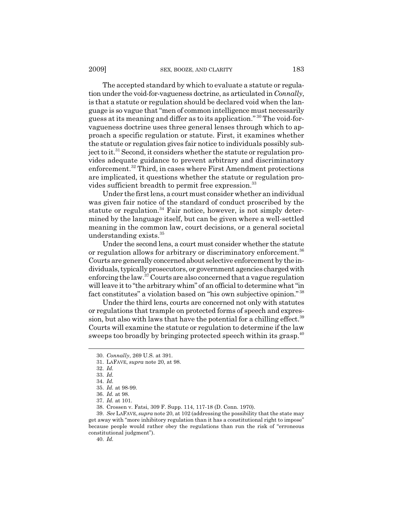The accepted standard by which to evaluate a statute or regulation under the void-for-vagueness doctrine, as articulated in *Connally*, is that a statute or regulation should be declared void when the language is so vague that "men of common intelligence must necessarily guess at its meaning and differ as to its application." 30 The void-forvagueness doctrine uses three general lenses through which to approach a specific regulation or statute. First, it examines whether the statute or regulation gives fair notice to individuals possibly subject to it.<sup>31</sup> Second, it considers whether the statute or regulation provides adequate guidance to prevent arbitrary and discriminatory enforcement.<sup>32</sup> Third, in cases where First Amendment protections are implicated, it questions whether the statute or regulation provides sufficient breadth to permit free expression.<sup>33</sup>

Under the first lens, a court must consider whether an individual was given fair notice of the standard of conduct proscribed by the statute or regulation.<sup>34</sup> Fair notice, however, is not simply determined by the language itself, but can be given where a well-settled meaning in the common law, court decisions, or a general societal understanding exists.<sup>35</sup>

Under the second lens, a court must consider whether the statute or regulation allows for arbitrary or discriminatory enforcement.<sup>36</sup> Courts are generally concerned about selective enforcement by the individuals, typically prosecutors, or government agencies charged with enforcing the law.37 Courts are also concerned that a vague regulation will leave it to "the arbitrary whim" of an official to determine what "in fact constitutes" a violation based on "his own subjective opinion." <sup>38</sup>

Under the third lens, courts are concerned not only with statutes or regulations that trample on protected forms of speech and expression, but also with laws that have the potential for a chilling effect.<sup>39</sup> Courts will examine the statute or regulation to determine if the law sweeps too broadly by bringing protected speech within its grasp.<sup>40</sup>

40. *Id.*

<sup>30.</sup> *Connally*, 269 U.S. at 391.

<sup>31.</sup> LAFAVE, *supra* note 20, at 98.

<sup>32.</sup> *Id.*

<sup>33.</sup> *Id.*

<sup>34.</sup> *Id.*

<sup>35.</sup> *Id.* at 98-99.

<sup>36.</sup> *Id.* at 98.

<sup>37.</sup> *Id.* at 101.

<sup>38.</sup> Crossen v. Fatsi, 309 F. Supp. 114, 117-18 (D. Conn. 1970).

<sup>39.</sup> *See* LAFAVE, *supra* note 20, at 102 (addressing the possibility that the state may get away with "more inhibitory regulation than it has a constitutional right to impose" because people would rather obey the regulations than run the risk of "erroneous constitutional judgment").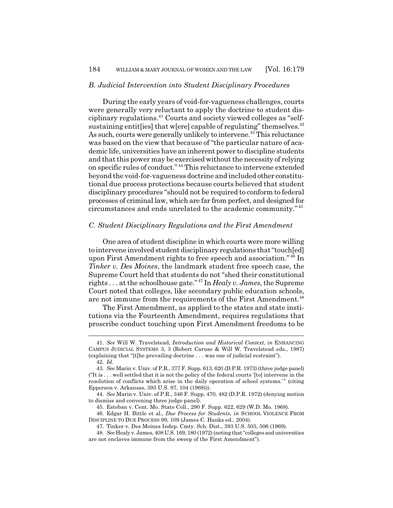#### *B. Judicial Intervention into Student Disciplinary Procedures*

During the early years of void-for-vagueness challenges, courts were generally very reluctant to apply the doctrine to student disciplinary regulations.41 Courts and society viewed colleges as "selfsustaining entit [ies] that w[ere] capable of regulating" themselves. $42$ As such, courts were generally unlikely to intervene.<sup>43</sup> This reluctance was based on the view that because of "the particular nature of academic life, universities have an inherent power to discipline students and that this power may be exercised without the necessity of relying on specific rules of conduct." 44 This reluctance to intervene extended beyond the void-for-vagueness doctrine and included other constitutional due process protections because courts believed that student disciplinary procedures "should not be required to conform to federal processes of criminal law, which are far from perfect, and designed for circumstances and ends unrelated to the academic community." <sup>45</sup>

#### *C. Student Disciplinary Regulations and the First Amendment*

One area of student discipline in which courts were more willing to intervene involved student disciplinary regulations that "touch[ed] upon First Amendment rights to free speech and association." 46 In *Tinker v. Des Moines*, the landmark student free speech case, the Supreme Court held that students do not "shed their constitutional rights . . . at the schoolhouse gate." 47 In *Healy v. James*, the Supreme Court noted that colleges, like secondary public education schools, are not immune from the requirements of the First Amendment.<sup>48</sup>

The First Amendment, as applied to the states and state institutions via the Fourteenth Amendment, requires regulations that proscribe conduct touching upon First Amendment freedoms to be

45. Esteban v. Cent. Mo. State Coll., 290 F. Supp. 622, 629 (W.D. Mo. 1968).

46. Edgar H. Bittle et al., *Due Process for Students*, *in* SCHOOL VIOLENCE FROM DISCIPLINE TO DUE PROCESS 99, 109 (James C. Hanks ed., 2004).

47. Tinker v. Des Moines Indep. Cmty. Sch. Dist., 393 U.S. 503, 506 (1969).

<sup>41.</sup> *See* Will W. Travelstead, *Introduction and Historical Context*, *in* ENHANCING CAMPUS JUDICIAL SYSTEMS 3, 3 (Robert Caruso & Will W. Travelstead eds., 1987) (explaining that "[t]he prevailing doctrine . . . was one of judicial restraint"). 42. *Id.*

<sup>43.</sup> *See* Marin v. Univ. of P.R., 377 F. Supp. 613, 620 (D.P.R. 1973) (three judge panel) ("It is . . . well settled that it is not the policy of the federal courts '[to] intervene in the resolution of conflicts which arise in the daily operation of school systems.' " (citing Epperson v. Arkansas, 393 U.S. 97, 104 (1968))).

<sup>44.</sup> *See* Marin v. Univ. of P.R., 346 F. Supp. 470, 482 (D.P.R. 1972) (denying motion to dismiss and convening three judge panel).

<sup>48.</sup> *See* Healy v. James, 408 U.S. 169, 180 (1972) (noting that "colleges and universities are not enclaves immune from the sweep of the First Amendment").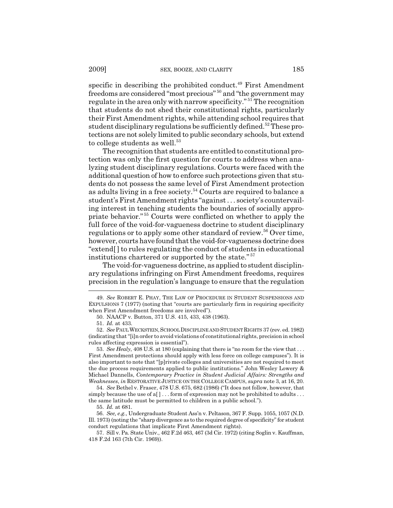specific in describing the prohibited conduct.<sup>49</sup> First Amendment freedoms are considered "most precious" 50 and "the government may regulate in the area only with narrow specificity." 51 The recognition that students do not shed their constitutional rights, particularly their First Amendment rights, while attending school requires that student disciplinary regulations be sufficiently defined.<sup>52</sup> These protections are not solely limited to public secondary schools, but extend to college students as well. $53$ 

The recognition that students are entitled to constitutional protection was only the first question for courts to address when analyzing student disciplinary regulations. Courts were faced with the additional question of how to enforce such protections given that students do not possess the same level of First Amendment protection as adults living in a free society.<sup>54</sup> Courts are required to balance a student's First Amendment rights "against . . . society's countervailing interest in teaching students the boundaries of socially appropriate behavior." 55 Courts were conflicted on whether to apply the full force of the void-for-vagueness doctrine to student disciplinary regulations or to apply some other standard of review.<sup>56</sup> Over time, however, courts have found that the void-for-vagueness doctrine does "extend[ ] to rules regulating the conduct of students in educational institutions chartered or supported by the state." <sup>57</sup>

The void-for-vagueness doctrine, as applied to student disciplinary regulations infringing on First Amendment freedoms, requires precision in the regulation's language to ensure that the regulation

53. *See Healy*, 408 U.S. at 180 (explaining that there is "no room for the view that . . . First Amendment protections should apply with less force on college campuses"). It is also important to note that "[p]rivate colleges and universities are not required to meet the due process requirements applied to public institutions." John Wesley Lowery & Michael Dannells, *Contemporary Practice in Student Judicial Affairs: Strengths and Weaknesses*, *in* RESTORATIVE JUSTICE ON THE COLLEGE CAMPUS, *supra* note 3, at 16, 20.

54. *See* Bethel v. Fraser, 478 U.S. 675, 682 (1986) ("It does not follow, however, that simply because the use of a[]... form of expression may not be prohibited to adults ... the same latitude must be permitted to children in a public school.").

55. *Id.* at 681.

56. *See, e.g.*, Undergraduate Student Ass'n v. Peltason, 367 F. Supp. 1055, 1057 (N.D. Ill. 1973) (noting the "sharp divergence as to the required degree of specificity" for student conduct regulations that implicate First Amendment rights).

57. Sill v. Pa. State Univ., 462 F.2d 463, 467 (3d Cir. 1972) (citing Soglin v. Kauffman, 418 F.2d 163 (7th Cir. 1969)).

<sup>49.</sup> *See* ROBERT E. PHAY, THE LAW OF PROCEDURE IN STUDENT SUSPENSIONS AND EXPULSIONS 7 (1977) (noting that "courts are particularly firm in requiring specificity when First Amendment freedoms are involved").

<sup>50.</sup> NAACP v. Button, 371 U.S. 415, 433, 438 (1963).

<sup>51.</sup> *Id.* at 433.

<sup>52.</sup> *See* PAUL WECKSTEIN,SCHOOL DISCIPLINE AND STUDENT RIGHTS 37 (rev. ed. 1982) (indicating that "[i]n order to avoid violations of constitutional rights, precision in school rules affecting expression is essential").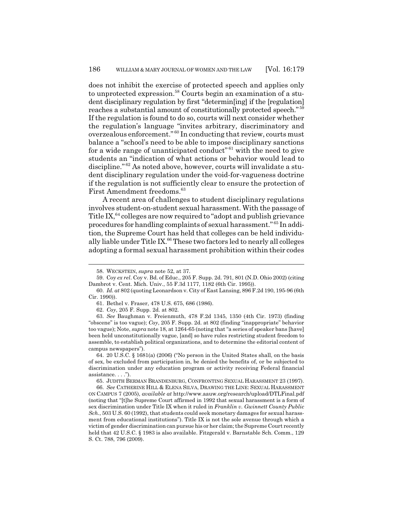does not inhibit the exercise of protected speech and applies only to unprotected expression.<sup>58</sup> Courts begin an examination of a student disciplinary regulation by first "determin[ing] if the [regulation] reaches a substantial amount of constitutionally protected speech." <sup>59</sup> If the regulation is found to do so, courts will next consider whether the regulation's language "invites arbitrary, discriminatory and overzealous enforcement." 60 In conducting that review, courts must balance a "school's need to be able to impose disciplinary sanctions for a wide range of unanticipated conduct"<sup>61</sup> with the need to give students an "indication of what actions or behavior would lead to discipline." 62 As noted above, however, courts will invalidate a student disciplinary regulation under the void-for-vagueness doctrine if the regulation is not sufficiently clear to ensure the protection of First Amendment freedoms.<sup>63</sup>

A recent area of challenges to student disciplinary regulations involves student-on-student sexual harassment. With the passage of Title IX, $64$  colleges are now required to "adopt and publish grievance" procedures for handling complaints of sexual harassment." 65 In addition, the Supreme Court has held that colleges can be held individually liable under Title IX. $66$  These two factors led to nearly all colleges adopting a formal sexual harassment prohibition within their codes

<sup>58.</sup> WECKSTEIN, *supra* note 52, at 37.

<sup>59.</sup> Coy *ex rel*. Coy v. Bd. of Educ., 205 F. Supp. 2d. 791, 801 (N.D. Ohio 2002) (citing Dambrot v. Cent. Mich. Univ., 55 F.3d 1177, 1182 (6th Cir. 1995)).

<sup>60.</sup> *Id. at* 802 (quoting Leonardson v. City of East Lansing, 896 F.2d 190, 195-96 (6th Cir. 1990)).

<sup>61.</sup> Bethel v. Fraser, 478 U.S. 675, 686 (1986).

<sup>62.</sup> *Coy*, 205 F. Supp. 2d. at 802.

<sup>63.</sup> *See* Baughman v. Freienmuth, 478 F.2d 1345, 1350 (4th Cir. 1973) (finding "obscene" is too vague); *Coy*, 205 F. Supp. 2d. at 802 (finding "inappropriate" behavior too vague); Note, *supra* note 18, at 1264-65 (noting that "a series of speaker bans [have] been held unconstitutionally vague, [and] so have rules restricting student freedom to assemble, to establish political organizations, and to determine the editorial content of campus newspapers").

<sup>64. 20</sup> U.S.C. § 1681(a) (2006) ("No person in the United States shall, on the basis of sex, be excluded from participation in, be denied the benefits of, or be subjected to discrimination under any education program or activity receiving Federal financial assistance. . . .").

<sup>65.</sup> JUDITH BERMAN BRANDENBURG, CONFRONTING SEXUAL HARASSMENT 23 (1997).

<sup>66.</sup> *See* CATHERINE HILL & ELENA SILVA, DRAWING THE LINE: SEXUAL HARASSMENT ON CAMPUS 7 (2005), *available at* http://www.aauw.org/research/upload/DTLFinal.pdf (noting that "[t]he Supreme Court affirmed in 1992 that sexual harassment is a form of sex discrimination under Title IX when it ruled in *Franklin v. Gwinnett County Public Sch.*, 503 U.S. 60 (1992), that students could seek monetary damages for sexual harassment from educational institutions"). Title IX is not the sole avenue through which a victim of gender discrimination can pursue his or her claim; the Supreme Court recently held that 42 U.S.C. § 1983 is also available. Fitzgerald v. Barnstable Sch. Comm., 129 S. Ct. 788, 796 (2009).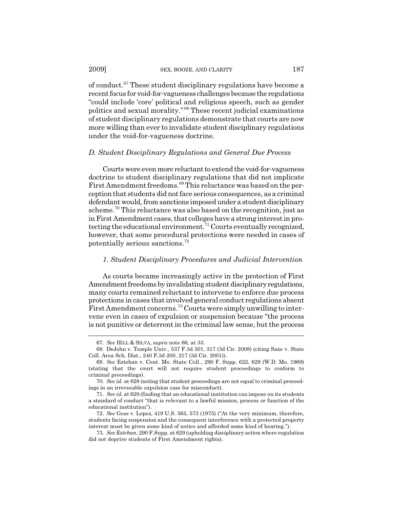of conduct.67 These student disciplinary regulations have become a recent focus for void-for-vagueness challenges because the regulations "could include 'core' political and religious speech, such as gender politics and sexual morality." 68 These recent judicial examinations of student disciplinary regulations demonstrate that courts are now more willing than ever to invalidate student disciplinary regulations under the void-for-vagueness doctrine.

#### *D. Student Disciplinary Regulations and General Due Process*

Courts were even more reluctant to extend the void-for-vagueness doctrine to student disciplinary regulations that did not implicate First Amendment freedoms.<sup>69</sup> This reluctance was based on the perception that students did not face serious consequences, as a criminal defendant would, from sanctions imposed under a student disciplinary scheme.<sup>70</sup> This reluctance was also based on the recognition, just as in First Amendment cases, that colleges have a strong interest in protecting the educational environment.<sup>71</sup> Courts eventually recognized, however, that some procedural protections were needed in cases of potentially serious sanctions.72

#### *1. Student Disciplinary Procedures and Judicial Intervention*

As courts became increasingly active in the protection of First Amendment freedoms by invalidating student disciplinary regulations, many courts remained reluctant to intervene to enforce due process protections in cases that involved general conduct regulations absent First Amendment concerns.<sup>73</sup> Courts were simply unwilling to intervene even in cases of expulsion or suspension because "the process is not punitive or deterrent in the criminal law sense, but the process

<sup>67.</sup> *See* HILL & SILVA, *supra* note 66, at 33.

<sup>68.</sup> DeJohn v. Temple Univ., 537 F.3d 301, 317 (3d Cir. 2008) (citing Saxe v. State Coll. Area Sch. Dist., 240 F.3d 200, 217 (3d Cir. 2001)).

<sup>69.</sup> *See* Esteban v. Cent. Mo. State Coll., 290 F. Supp. 622, 629 (W.D. Mo. 1969) (stating that the court will not require student proceedings to conform to criminal proceedings).

<sup>70.</sup> *See id.* at 628 (noting that student proceedings are not equal to criminal proceedings in an irrevocable expulsion case for misconduct).

<sup>71.</sup> *See id.* at 629 (finding that an educational institution can impose on its students a standard of conduct "that is relevant to a lawful mission, process or function of the educational institution").

<sup>72.</sup> *See* Goss v. Lopez, 419 U.S. 565, 573 (1975) ("At the very minimum, therefore, students facing suspension and the consequent interference with a protected property interest must be given some kind of notice and afforded some kind of hearing.").

<sup>73.</sup> *See Esteban*, 290 F.Supp. at 629 (upholding disciplinary action where regulation did not deprive students of First Amendment rights).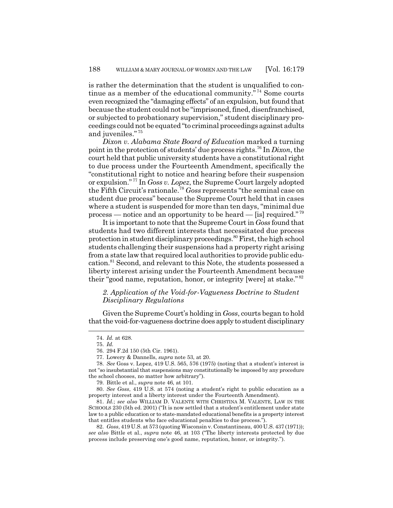is rather the determination that the student is unqualified to continue as a member of the educational community. $\frac{1}{10}$  Some courts even recognized the "damaging effects" of an expulsion, but found that because the student could not be "imprisoned, fined, disenfranchised, or subjected to probationary supervision," student disciplinary proceedings could not be equated "to criminal proceedings against adults and juveniles." <sup>75</sup>

*Dixon v. Alabama State Board of Education* marked a turning point in the protection of students' due process rights.76 In *Dixon*, the court held that public university students have a constitutional right to due process under the Fourteenth Amendment, specifically the "constitutional right to notice and hearing before their suspension or expulsion." 77 In *Goss v. Lopez*, the Supreme Court largely adopted the Fifth Circuit's rationale.<sup>78</sup> *Goss* represents "the seminal case on student due process" because the Supreme Court held that in cases where a student is suspended for more than ten days, "minimal due process — notice and an opportunity to be heard — [is] required."<sup>79</sup>

It is important to note that the Supreme Court in *Goss* found that students had two different interests that necessitated due process protection in student disciplinary proceedings.<sup>80</sup> First, the high school students challenging their suspensions had a property right arising from a state law that required local authorities to provide public education.81 Second, and relevant to this Note, the students possessed a liberty interest arising under the Fourteenth Amendment because their "good name, reputation, honor, or integrity [were] at stake."<sup>82</sup>

## *2. Application of the Void-for-Vagueness Doctrine to Student Disciplinary Regulations*

Given the Supreme Court's holding in *Goss*, courts began to hold that the void-for-vagueness doctrine does apply to student disciplinary

<sup>74.</sup> *Id.* at 628.

<sup>75.</sup> *Id.*

<sup>76. 294</sup> F.2d 150 (5th Cir. 1961).

<sup>77.</sup> Lowery & Dannells, *supra* note 53, at 20.

<sup>78.</sup> *See* Goss v. Lopez, 419 U.S. 565, 576 (1975) (noting that a student's interest is not "so insubstantial that suspensions may constitutionally be imposed by any procedure the school chooses, no matter how arbitrary").

<sup>79.</sup> Bittle et al., *supra* note 46, at 101.

<sup>80.</sup> *See Goss*, 419 U.S. at 574 (noting a student's right to public education as a property interest and a liberty interest under the Fourteenth Amendment).

<sup>81.</sup> *Id.*; *see also* WILLIAM D. VALENTE WITH CHRISTINA M. VALENTE, LAW IN THE SCHOOLS 230 (5th ed. 2001) ("It is now settled that a student's entitlement under state law to a public education or to state-mandated educational benefits is a property interest that entitles students who face educational penalties to due process.").

<sup>82.</sup> *Goss*, 419 U.S. at 573 (quoting Wisconsin v. Constantineau, 400 U.S. 437 (1971)); *see also* Bittle et al., *supra* note 46, at 103 ("The liberty interests protected by due process include preserving one's good name, reputation, honor, or integrity.").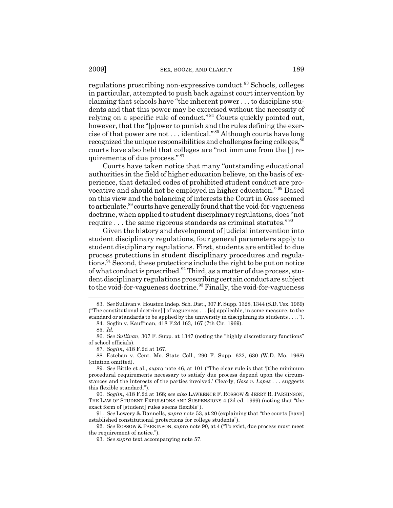regulations proscribing non-expressive conduct.<sup>83</sup> Schools, colleges in particular, attempted to push back against court intervention by claiming that schools have "the inherent power . . . to discipline students and that this power may be exercised without the necessity of relying on a specific rule of conduct." 84 Courts quickly pointed out, however, that the "[p]ower to punish and the rules defining the exercise of that power are not . . . identical." 85 Although courts have long recognized the unique responsibilities and challenges facing colleges, <sup>86</sup> courts have also held that colleges are "not immune from the [] requirements of due process." <sup>87</sup>

Courts have taken notice that many "outstanding educational authorities in the field of higher education believe, on the basis of experience, that detailed codes of prohibited student conduct are provocative and should not be employed in higher education." 88 Based on this view and the balancing of interests the Court in *Goss* seemed to articulate,<sup>89</sup> courts have generally found that the void-for-vagueness doctrine, when applied to student disciplinary regulations, does "not require  $\dots$  the same rigorous standards as criminal statutes."<sup>90</sup>

Given the history and development of judicial intervention into student disciplinary regulations, four general parameters apply to student disciplinary regulations. First, students are entitled to due process protections in student disciplinary procedures and regulations.<sup>91</sup> Second, these protections include the right to be put on notice of what conduct is proscribed.<sup>92</sup> Third, as a matter of due process, student disciplinary regulations proscribing certain conduct are subject to the void-for-vagueness doctrine.<sup>93</sup> Finally, the void-for-vagueness

<sup>83.</sup> *See* Sullivan v. Houston Indep. Sch. Dist., 307 F. Supp. 1328, 1344 (S.D. Tex. 1969) ("The constitutional doctrine[ ] of vagueness . . . [is] applicable, in some measure, to the standard or standards to be applied by the university in disciplining its students . . . .").

<sup>84.</sup> Soglin v. Kauffman, 418 F.2d 163, 167 (7th Cir. 1969).

<sup>85.</sup> *Id.*

<sup>86.</sup> *See Sullivan*, 307 F. Supp. at 1347 (noting the "highly discretionary functions" of school officials).

<sup>87.</sup> *Soglin*, 418 F.2d at 167.

<sup>88.</sup> Esteban v. Cent. Mo. State Coll., 290 F. Supp. 622, 630 (W.D. Mo. 1968) (citation omitted).

<sup>89.</sup> *See* Bittle et al., *supra* note 46, at 101 ("The clear rule is that '[t]he minimum procedural requirements necessary to satisfy due process depend upon the circumstances and the interests of the parties involved.' Clearly, *Goss v. Lopez* . . . suggests this flexible standard.").

<sup>90.</sup> *Soglin*, 418 F.2d at 168; *see also* LAWRENCE F. ROSSOW & JERRY R. PARKINSON, THE LAW OF STUDENT EXPULSIONS AND SUSPENSIONS 4 (2d ed. 1999) (noting that "the exact form of [student] rules seems flexible").

<sup>91.</sup> *See* Lowery & Dannells, *supra* note 53, at 20 (explaining that "the courts [have] established constitutional protections for college students").

<sup>92.</sup> *See* ROSSOW & PARKINSON, *supra* note 90, at 4 ("To exist, due process must meet the requirement of notice.").

<sup>93.</sup> *See supra* text accompanying note 57.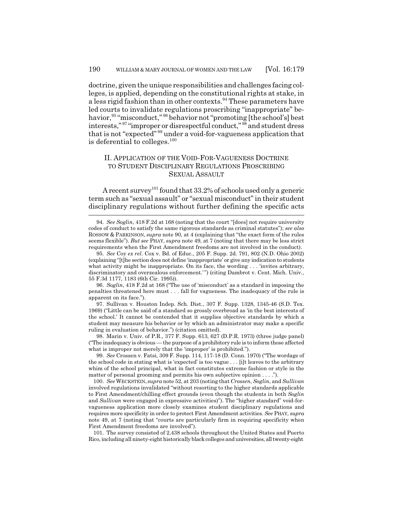doctrine, given the unique responsibilities and challenges facing colleges, is applied, depending on the constitutional rights at stake, in a less rigid fashion than in other contexts.<sup>94</sup> These parameters have led courts to invalidate regulations proscribing "inappropriate" behavior,<sup>95</sup> "misconduct," <sup>96</sup> behavior not "promoting [the school's] best interests,"<sup>97</sup> "improper or disrespectful conduct,"<sup>98</sup> and student dress that is not "expected" 99 under a void-for-vagueness application that is deferential to colleges. $100$ 

## II. APPLICATION OF THE VOID-FOR-VAGUENESS DOCTRINE TO STUDENT DISCIPLINARY REGULATIONS PROSCRIBING SEXUAL ASSAULT

A recent survey<sup>101</sup> found that  $33.2\%$  of schools used only a generic term such as "sexual assault" or "sexual misconduct" in their student disciplinary regulations without further defining the specific acts

96. *Soglin*, 418 F.2d at 168 ("The use of 'misconduct' as a standard in imposing the penalties threatened here must . . . fall for vagueness. The inadequacy of the rule is apparent on its face.").

97. Sullivan v. Houston Indep. Sch. Dist., 307 F. Supp. 1328, 1345-46 (S.D. Tex. 1969) ("Little can be said of a standard so grossly overbroad as 'in the best interests of the school.' It cannot be contended that it supplies objective standards by which a student may measure his behavior or by which an administrator may make a specific ruling in evaluation of behavior.") (citation omitted).

98. Marin v. Univ. of P.R., 377 F. Supp. 613, 627 (D.P.R. 1973) (three judge panel) ("The inadequacy is obvious — the purpose of a prohibitory rule is to inform those affected what is improper not merely that the 'improper' is prohibited.").

99. *See* Crossen v. Fatsi, 309 F. Supp. 114, 117-18 (D. Conn. 1970) ("The wordage of the school code in stating what is 'expected' is too vague . . . [i]t leaves to the arbitrary whim of the school principal, what in fact constitutes extreme fashion or style in the matter of personal grooming and permits his own subjective opinion . . . .").

100. *See* WECKSTEIN, *supra* note 52, at 203 (noting that *Crossen*, *Soglin*, and *Sullivan* involved regulations invalidated "without resorting to the higher standards applicable to First Amendment/chilling effect grounds (even though the students in both *Soglin* and *Sullivan* were engaged in expressive activities)"). The "higher standard" void-forvagueness application more closely examines student disciplinary regulations and requires more specificity in order to protect First Amendment activities. *See* PHAY, *supra* note 49, at 7 (noting that "courts are particularly firm in requiring specificity when First Amendment freedoms are involved").

101. The survey consisted of 2,438 schools throughout the United States and Puerto Rico, including all ninety-eight historically black colleges and universities, all twenty-eight

<sup>94.</sup> *See Soglin*, 418 F.2d at 168 (noting that the court "[does] not require university codes of conduct to satisfy the same rigorous standards as criminal statutes"); *see also* ROSSOW & PARKINSON, *supra* note 90, at 4 (explaining that "the exact form of the rules seems flexible"). *But see* PHAY, *supra* note 49, at 7 (noting that there may be less strict requirements when the First Amendment freedoms are not involved in the conduct).

<sup>95.</sup> *See* Coy *ex rel*. Cox v. Bd. of Educ., 205 F. Supp. 2d. 791, 802 (N.D. Ohio 2002) (explaining "[t]he section does not define 'inappropriate' or give any indication to students what activity might be inappropriate. On its face, the wording ... 'invites arbitrary, discriminatory and overzealous enforcement.' ") (citing Dambrot v. Cent. Mich. Univ., 55 F.3d 1177, 1183 (6th Cir. 1995)).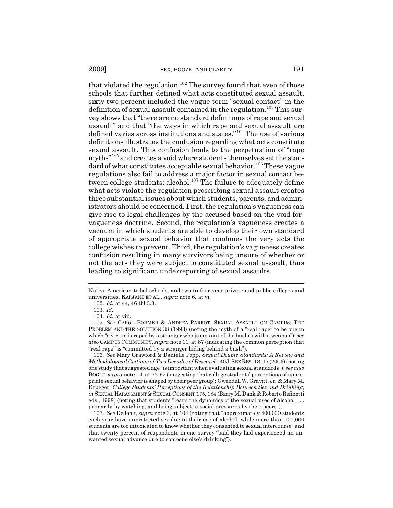2009] SEX, BOOZE, AND CLARITY 191

that violated the regulation.<sup>102</sup> The survey found that even of those schools that further defined what acts constituted sexual assault, sixty-two percent included the vague term "sexual contact" in the definition of sexual assault contained in the regulation.<sup>103</sup> This survey shows that "there are no standard definitions of rape and sexual assault" and that "the ways in which rape and sexual assault are defined varies across institutions and states."104 The use of various definitions illustrates the confusion regarding what acts constitute sexual assault. This confusion leads to the perpetuation of "rape myths"<sup>105</sup> and creates a void where students themselves set the standard of what constitutes acceptable sexual behavior.<sup>106</sup> These vague regulations also fail to address a major factor in sexual contact between college students: alcohol.<sup>107</sup> The failure to adequately define what acts violate the regulation proscribing sexual assault creates three substantial issues about which students, parents, and administrators should be concerned. First, the regulation's vagueness can give rise to legal challenges by the accused based on the void-forvagueness doctrine. Second, the regulation's vagueness creates a vacuum in which students are able to develop their own standard of appropriate sexual behavior that condones the very acts the college wishes to prevent. Third, the regulation's vagueness creates confusion resulting in many survivors being unsure of whether or not the acts they were subject to constituted sexual assault, thus leading to significant underreporting of sexual assaults.

106. *See* Mary Crawford & Danielle Popp, *Sexual Double Standards: A Review and Methodological Critique of Two Decades of Research*, 40J.SEX RES. 13, 17 (2003) (noting one study that suggested age "is important when evaluating sexual standards"); *see also* BOGLE, *supra* note 14, at 72-95 (suggesting that college students' perceptions of appropriate sexual behavior is shaped by their peer group); Gwendell W. Gravitt, Jr. & Mary M. Krueger, *College Students' Perceptions of the Relationship Between Sex and Drinking*, *in* SEXUAL HARASSMENT & SEXUAL CONSENT 175, 184 (Barry M. Dank & Roberto Refinetti eds., 1998) (noting that students "learn the dynamics of the sexual uses of alcohol . . . primarily by watching, and being subject to social pressures by their peers").

107. *See* DeJong, *supra* note 3, at 104 (noting that "approximately 400,000 students each year have unprotected sex due to their use of alcohol, while more than 100,000 students are too intoxicated to know whether they consented to sexual intercourse" and that twenty percent of respondents in one survey "said they had experienced an unwanted sexual advance due to someone else's drinking").

Native American tribal schools, and two-to-four-year private and public colleges and universities. KARJANE ET AL., *supra* note 6, at vi.

<sup>102.</sup> *Id.* at 44, 46 tbl.3.3.

<sup>103.</sup> *Id.*

<sup>104.</sup> *Id.* at viii.

<sup>105.</sup> *See* CAROL BOHMER & ANDREA PARROT, SEXUAL ASSAULT ON CAMPUS: THE PROBLEM AND THE SOLUTION 38 (1993) (noting the myth of a "real rape" to be one in which "a victim is raped by a stranger who jumps out of the bushes with a weapon"); *see also* CAMPUS COMMUNITY, *supra* note 11, at 87 (indicating the common perception that "real rape" is "committed by a stranger hiding behind a bush").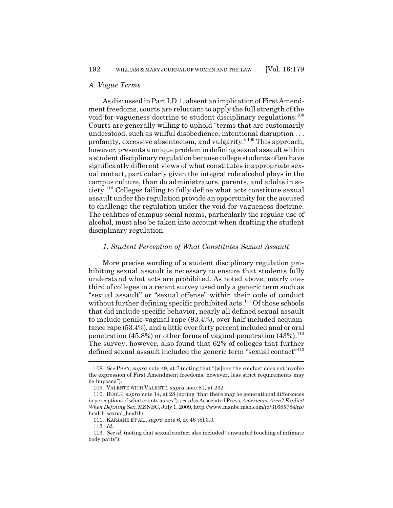#### *A. Vague Terms*

As discussed in Part I.D.1, absent an implication of First Amendment freedoms, courts are reluctant to apply the full strength of the void-for-vagueness doctrine to student disciplinary regulations.<sup>108</sup> Courts are generally willing to uphold "terms that are customarily understood, such as willful disobedience, intentional disruption . . . profanity, excessive absenteeism, and vulgarity."109 This approach, however, presents a unique problem in defining sexual assault within a student disciplinary regulation because college students often have significantly different views of what constitutes inappropriate sexual contact, particularly given the integral role alcohol plays in the campus culture, than do administrators, parents, and adults in society.110 Colleges failing to fully define what acts constitute sexual assault under the regulation provide an opportunity for the accused to challenge the regulation under the void-for-vagueness doctrine. The realities of campus social norms, particularly the regular use of alcohol, must also be taken into account when drafting the student disciplinary regulation.

#### *1. Student Perception of What Constitutes Sexual Assault*

More precise wording of a student disciplinary regulation prohibiting sexual assault is necessary to ensure that students fully understand what acts are prohibited. As noted above, nearly onethird of colleges in a recent survey used only a generic term such as "sexual assault" or "sexual offense" within their code of conduct without further defining specific prohibited acts.<sup>111</sup> Of those schools that did include specific behavior, nearly all defined sexual assault to include penile-vaginal rape (93.4%), over half included acquaintance rape (53.4%), and a little over forty percent included anal or oral penetration (45.8%) or other forms of vaginal penetration (43%).<sup>112</sup> The survey, however, also found that 62% of colleges that further defined sexual assault included the generic term "sexual contact"<sup>113</sup>

<sup>108.</sup> *See* PHAY, *supra* note 49, at 7 (noting that "[w]hen the conduct does not involve the expression of First Amendment freedoms, however, less strict requirements may be imposed").

<sup>109.</sup> VALENTE WITH VALENTE, *supra* note 81, at 232.

<sup>110.</sup> BOGLE, *supra* note 14, at 28 (noting "that there may be generational differences in perceptions of what counts as sex"); *see also* Associated Press, *Americans Aren't Explicit When Defining Sex*, MSNBC, July 1, 2009, http://www.msnbc.msn.com/id/31685784/ns/ health-sexual\_health/.

<sup>111.</sup> KARJANE ET AL., *supra* note 6, at 46 tbl.3.3.

<sup>112.</sup> *Id.*

<sup>113.</sup> *See id.* (noting that sexual contact also included "unwanted touching of intimate body parts").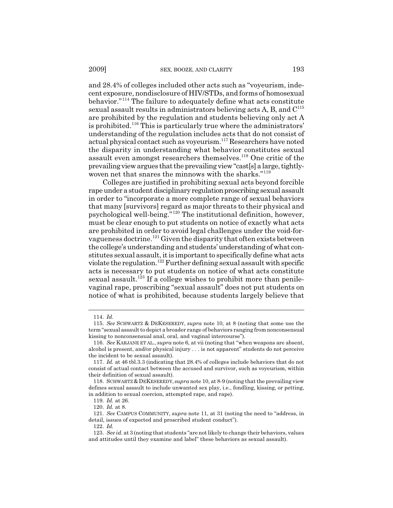and 28.4% of colleges included other acts such as "voyeurism, indecent exposure, nondisclosure of HIV/STDs, and forms of homosexual behavior."114 The failure to adequately define what acts constitute sexual assault results in administrators believing acts A, B, and C115 are prohibited by the regulation and students believing only act A is prohibited.<sup>116</sup> This is particularly true where the administrators' understanding of the regulation includes acts that do not consist of actual physical contact such as voyeurism.117 Researchers have noted the disparity in understanding what behavior constitutes sexual assault even amongst researchers themselves.118 One critic of the prevailing view argues that the prevailing view "cast[s] a large, tightlywoven net that snares the minnows with the sharks."<sup>119</sup>

Colleges are justified in prohibiting sexual acts beyond forcible rape under a student disciplinary regulation proscribing sexual assault in order to "incorporate a more complete range of sexual behaviors that many [survivors] regard as major threats to their physical and psychological well-being."120 The institutional definition, however, must be clear enough to put students on notice of exactly what acts are prohibited in order to avoid legal challenges under the void-forvagueness doctrine.121 Given the disparity that often exists between the college's understanding and students' understanding of what constitutes sexual assault, it is important to specifically define what acts violate the regulation.<sup>122</sup> Further defining sexual assault with specific acts is necessary to put students on notice of what acts constitute sexual assault.<sup>123</sup> If a college wishes to prohibit more than penilevaginal rape, proscribing "sexual assault" does not put students on notice of what is prohibited, because students largely believe that

<sup>114.</sup> *Id.*

<sup>115.</sup> *See* SCHWARTZ & DEKESEREDY, *supra* note 10, at 8 (noting that some use the term "sexual assault to depict a broader range of behaviors ranging from nonconsensual kissing to nonconsensual anal, oral, and vaginal intercourse").

<sup>116.</sup> *See* KARJANE ET AL., *supra* note 6, at vii (noting that "when weapons are absent, alcohol is present, and/or physical injury . . . is not apparent" students do not perceive the incident to be sexual assault).

<sup>117.</sup> *Id.* at 46 tbl.3.3 (indicating that 28.4% of colleges include behaviors that do not consist of actual contact between the accused and survivor, such as voyeurism, within their definition of sexual assault).

<sup>118.</sup> SCHWARTZ &DEKESEREDY, *supra* note 10, at 8-9 (noting that the prevailing view defines sexual assault to include unwanted sex play, i.e., fondling, kissing, or petting, in addition to sexual coercion, attempted rape, and rape).

<sup>119.</sup> *Id.* at 26.

<sup>120.</sup> *Id.* at 8.

<sup>121.</sup> *See* CAMPUS COMMUNITY, *supra* note 11, at 31 (noting the need to "address, in detail, issues of expected and proscribed student conduct").

<sup>122.</sup> *Id.*

<sup>123.</sup> *See id.* at 3 (noting that students "are not likely to change their behaviors, values and attitudes until they examine and label" these behaviors as sexual assault).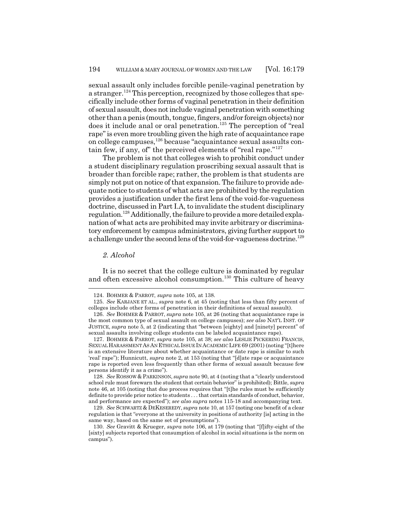sexual assault only includes forcible penile-vaginal penetration by a stranger.124 This perception, recognized by those colleges that specifically include other forms of vaginal penetration in their definition of sexual assault, does not include vaginal penetration with something other than a penis (mouth, tongue, fingers, and/or foreign objects) nor does it include anal or oral penetration.<sup>125</sup> The perception of "real rape" is even more troubling given the high rate of acquaintance rape on college campuses,126 because "acquaintance sexual assaults contain few, if any, of" the perceived elements of "real rape."<sup>127</sup>

The problem is not that colleges wish to prohibit conduct under a student disciplinary regulation proscribing sexual assault that is broader than forcible rape; rather, the problem is that students are simply not put on notice of that expansion. The failure to provide adequate notice to students of what acts are prohibited by the regulation provides a justification under the first lens of the void-for-vagueness doctrine, discussed in Part I.A, to invalidate the student disciplinary regulation.128 Additionally, the failure to provide a more detailed explanation of what acts are prohibited may invite arbitrary or discriminatory enforcement by campus administrators, giving further support to a challenge under the second lens of the void-for-vagueness doctrine.<sup>129</sup>

#### *2. Alcohol*

It is no secret that the college culture is dominated by regular and often excessive alcohol consumption.<sup>130</sup> This culture of heavy

127. BOHMER & PARROT, *supra* note 105, at 38; *see also* LESLIE PICKERING FRANCIS, SEXUAL HARASSMENT AS AN ETHICAL ISSUE IN ACADEMIC LIFE 69 (2001) (noting "[t]here is an extensive literature about whether acquaintance or date rape is similar to such 'real' rape"); Hunnicutt, *supra* note 2, at 153 (noting that "[d]ate rape or acquaintance rape is reported even less frequently than other forms of sexual assault because few persons identify it as a crime").

128. *See* ROSSOW & PARKINSON, *supra* note 90, at 4 (noting that a "clearly understood school rule must forewarn the student that certain behavior" is prohibited); Bittle, *supra* note 46, at 105 (noting that due process requires that "[t]he rules must be sufficiently definite to provide prior notice to students . . . that certain standards of conduct, behavior, and performance are expected"); *see also supra* notes 115-18 and accompanying text.

129. *See* SCHWARTZ & DEKESEREDY, *supra* note 10, at 157 (noting one benefit of a clear regulation is that "everyone at the university in positions of authority [is] acting in the same way, based on the same set of presumptions").

130. *See* Gravitt & Krueger, *supra* note 106, at 179 (noting that "[f]ifty-eight of the [sixty] subjects reported that consumption of alcohol in social situations is the norm on campus").

<sup>124.</sup> BOHMER & PARROT, *supra* note 105, at 138.

<sup>125.</sup> *See* KARJANE ET AL., *supra* note 6, at 45 (noting that less than fifty percent of colleges include other forms of penetration in their definitions of sexual assault).

<sup>126.</sup> *See* BOHMER & PARROT, *supra* note 105, at 26 (noting that acquaintance rape is the most common type of sexual assault on college campuses); *see also* NAT'L INST. OF JUSTICE, *supra* note 5, at 2 (indicating that "between [eighty] and [ninety] percent" of sexual assaults involving college students can be labeled acquaintance rape).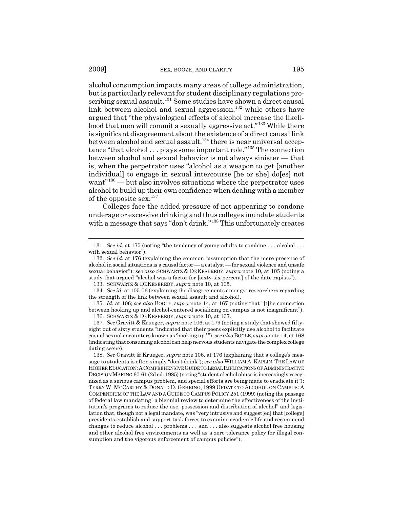alcohol consumption impacts many areas of college administration, but is particularly relevant for student disciplinary regulations proscribing sexual assault.<sup>131</sup> Some studies have shown a direct causal link between alcohol and sexual aggression, $132$  while others have argued that "the physiological effects of alcohol increase the likelihood that men will commit a sexually aggressive act."133 While there is significant disagreement about the existence of a direct causal link between alcohol and sexual assault,<sup>134</sup> there is near universal acceptance "that alcohol . . . plays some important role."135 The connection between alcohol and sexual behavior is not always sinister — that is, when the perpetrator uses "alcohol as a weapon to get [another individual] to engage in sexual intercourse [he or she] do[es] not want"<sup>136</sup> — but also involves situations where the perpetrator uses alcohol to build up their own confidence when dealing with a member of the opposite sex. $137$ 

Colleges face the added pressure of not appearing to condone underage or excessive drinking and thus colleges inundate students with a message that says "don't drink."<sup>138</sup> This unfortunately creates

133. SCHWARTZ & DEKESEREDY, *supra* note 10, at 105.

134. *See id.* at 105-06 (explaining the disagreements amongst researchers regarding the strength of the link between sexual assault and alcohol).

135. *Id.* at 106; *see also* BOGLE, *supra* note 14, at 167 (noting that "[t]he connection between hooking up and alcohol-centered socializing on campus is not insignificant"). 136. SCHWARTZ & DEKESEREDY, *supra* note 10, at 107.

137. *See* Gravitt & Krueger, *supra* note 106, at 179 (noting a study that showed fiftyeight out of sixty students "indicated that their peers explicitly use alcohol to facilitate casual sexual encounters known as 'hooking up.' "); *see also* BOGLE, *supra* note 14, at 168 (indicating that consuming alcohol can help nervous students navigate the complex college dating scene).

<sup>131.</sup> *See id.* at 175 (noting "the tendency of young adults to combine . . . alcohol . . . with sexual behavior").

<sup>132.</sup> *See id.* at 176 (explaining the common "assumption that the mere presence of alcohol in social situations is a causal factor — a catalyst — for sexual violence and unsafe sexual behavior"); *see also* SCHWARTZ & DEKESEREDY, *supra* note 10, at 105 (noting a study that argued "alcohol was a factor for [sixty-six percent] of the date rapists").

<sup>138.</sup> *See* Gravitt & Krueger, *supra* note 106, at 176 (explaining that a college's message to students is often simply "don't drink"); *see also* WILLIAM A. KAPLIN,THE LAW OF HIGHER EDUCATION:ACOMPREHENSIVE GUIDE TO LEGAL IMPLICATIONS OF ADMINISTRATIVE DECISION MAKING 60-61 (2d ed. 1985) (noting "student alcohol abuse is increasingly recognized as a serious campus problem, and special efforts are being made to eradicate it"); TERRY W. MCCARTHY & DONALD D. GEHRING, 1999 UPDATE TO ALCOHOL ON CAMPUS: A COMPENDIUM OF THE LAW AND A GUIDE TO CAMPUS POLICY 251 (1999) (noting the passage of federal law mandating "a biennial review to determine the effectiveness of the institution's programs to reduce the use, possession and distribution of alcohol" and legislation that, though not a legal mandate, was "very intrusive and suggest[ed] that [college] presidents establish and support task forces to examine academic life and recommend changes to reduce alcohol . . . problems . . . and . . . also suggests alcohol free housing and other alcohol free environments as well as a zero tolerance policy for illegal consumption and the vigorous enforcement of campus policies").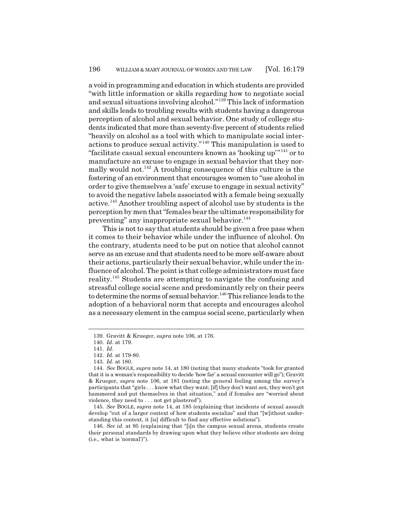a void in programming and education in which students are provided "with little information or skills regarding how to negotiate social and sexual situations involving alcohol."139 This lack of information and skills leads to troubling results with students having a dangerous perception of alcohol and sexual behavior. One study of college students indicated that more than seventy-five percent of students relied "heavily on alcohol as a tool with which to manipulate social interactions to produce sexual activity."140 This manipulation is used to "facilitate casual sexual encounters known as 'hooking up'"141 or to manufacture an excuse to engage in sexual behavior that they normally would not.<sup>142</sup> A troubling consequence of this culture is the fostering of an environment that encourages women to "use alcohol in order to give themselves a 'safe' excuse to engage in sexual activity" to avoid the negative labels associated with a female being sexually active.143 Another troubling aspect of alcohol use by students is the perception by men that "females bear the ultimate responsibility for preventing" any inappropriate sexual behavior.<sup>144</sup>

This is not to say that students should be given a free pass when it comes to their behavior while under the influence of alcohol. On the contrary, students need to be put on notice that alcohol cannot serve as an excuse and that students need to be more self-aware about their actions, particularly their sexual behavior, while under the influence of alcohol. The point is that college administrators must face reality.145 Students are attempting to navigate the confusing and stressful college social scene and predominantly rely on their peers to determine the norms of sexual behavior.<sup>146</sup> This reliance leads to the adoption of a behavioral norm that accepts and encourages alcohol as a necessary element in the campus social scene, particularly when

145. *See* BOGLE, *supra* note 14, at 185 (explaining that incidents of sexual assault develop "out of a larger context of how students socialize" and that "[w]ithout understanding this context, it [is] difficult to find any effective solutions").

146. *See id.* at 95 (explaining that "[i]n the campus sexual arena, students create their personal standards by drawing upon what they believe other students are doing (i.e., what is 'normal')").

<sup>139.</sup> Gravitt & Krueger, *supra* note 106, at 176.

<sup>140.</sup> *Id.* at 179.

<sup>141.</sup> *Id.*

<sup>142.</sup> *Id.* at 179-80.

<sup>143.</sup> *Id.* at 180.

<sup>144.</sup> *See* BOGLE, *supra* note 14, at 180 (noting that many students "took for granted that it is a woman's responsibility to decide 'how far' a sexual encounter will go"); Gravitt & Krueger, *supra* note 106, at 181 (noting the general feeling among the survey's participants that "girls . . . know what they want; [if] they don't want sex, they won't get hammered and put themselves in that situation," and if females are "worried about violence, they need to . . . not get plastered").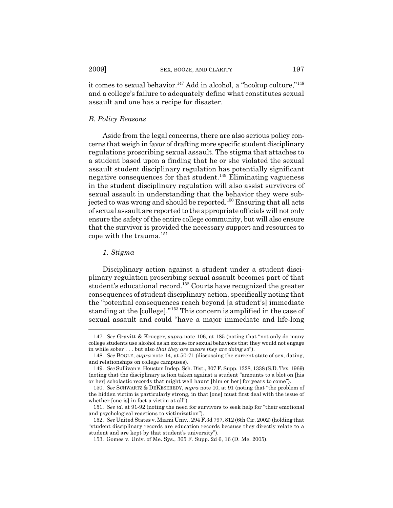it comes to sexual behavior.<sup>147</sup> Add in alcohol, a "hookup culture,"<sup>148</sup> and a college's failure to adequately define what constitutes sexual assault and one has a recipe for disaster.

#### *B. Policy Reasons*

Aside from the legal concerns, there are also serious policy concerns that weigh in favor of drafting more specific student disciplinary regulations proscribing sexual assault. The stigma that attaches to a student based upon a finding that he or she violated the sexual assault student disciplinary regulation has potentially significant negative consequences for that student.149 Eliminating vagueness in the student disciplinary regulation will also assist survivors of sexual assault in understanding that the behavior they were subjected to was wrong and should be reported.<sup>150</sup> Ensuring that all acts of sexual assault are reported to the appropriate officials will not only ensure the safety of the entire college community, but will also ensure that the survivor is provided the necessary support and resources to cope with the trauma. $^{151}$ 

#### *1. Stigma*

Disciplinary action against a student under a student disciplinary regulation proscribing sexual assault becomes part of that student's educational record.<sup>152</sup> Courts have recognized the greater consequences of student disciplinary action, specifically noting that the "potential consequences reach beyond [a student's] immediate standing at the [college]."153 This concern is amplified in the case of sexual assault and could "have a major immediate and life-long

<sup>147.</sup> *See* Gravitt & Krueger, *supra* note 106, at 185 (noting that "not only do many college students use alcohol as an excuse for sexual behaviors that they would not engage in while sober . . . but also *that they are aware they are doing so*").

<sup>148.</sup> *See* BOGLE, *supra* note 14, at 50-71 (discussing the current state of sex, dating, and relationships on college campuses).

<sup>149.</sup> *See* Sullivan v. Houston Indep. Sch. Dist., 307 F. Supp. 1328, 1338 (S.D. Tex. 1969) (noting that the disciplinary action taken against a student "amounts to a blot on [his or her] scholastic records that might well haunt [him or her] for years to come").

<sup>150.</sup> *See* SCHWARTZ & DEKESEREDY, *supra* note 10, at 91 (noting that "the problem of the hidden victim is particularly strong, in that [one] must first deal with the issue of whether [one is] in fact a victim at all").

<sup>151.</sup> *See id.* at 91-92 (noting the need for survivors to seek help for "their emotional and psychological reactions to victimization").

<sup>152.</sup> *See* United States v. Miami Univ., 294 F.3d 797, 812 (6th Cir. 2002) (holding that "student disciplinary records are education records because they directly relate to a student and are kept by that student's university").

<sup>153.</sup> Gomes v. Univ. of Me. Sys., 365 F. Supp. 2d 6, 16 (D. Me. 2005).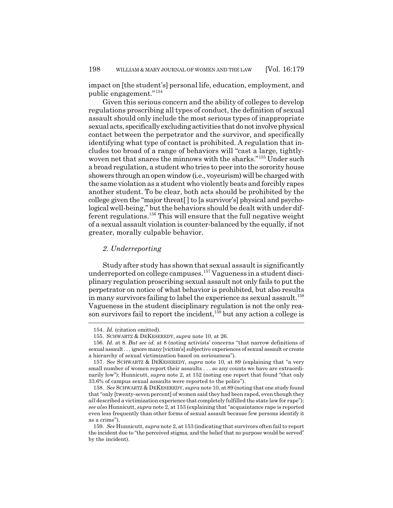impact on [the student's] personal life, education, employment, and public engagement."<sup>154</sup>

Given this serious concern and the ability of colleges to develop regulations proscribing all types of conduct, the definition of sexual assault should only include the most serious types of inappropriate sexual acts, specifically excluding activities that do not involve physical contact between the perpetrator and the survivor, and specifically identifying what type of contact is prohibited. A regulation that includes too broad of a range of behaviors will "cast a large, tightlywoven net that snares the minnows with the sharks."<sup>155</sup> Under such a broad regulation, a student who tries to peer into the sorority house showers through an open window (i.e., voyeurism) will be charged with the same violation as a student who violently beats and forcibly rapes another student. To be clear, both acts should be prohibited by the college given the "major threat[ ] to [a survivor's] physical and psychological well-being," but the behaviors should be dealt with under different regulations.156 This will ensure that the full negative weight of a sexual assault violation is counter-balanced by the equally, if not greater, morally culpable behavior.

#### *2. Underreporting*

Study after study has shown that sexual assault is significantly underreported on college campuses.157 Vagueness in a student disciplinary regulation proscribing sexual assault not only fails to put the perpetrator on notice of what behavior is prohibited, but also results in many survivors failing to label the experience as sexual assault.<sup>158</sup> Vagueness in the student disciplinary regulation is not the only reason survivors fail to report the incident, $159$  but any action a college is

<sup>154.</sup> *Id.* (citation omitted).

<sup>155.</sup> SCHWARTZ & DEKESEREDY, *supra* note 10, at 26.

<sup>156.</sup> *Id.* at 8. *But see id.* at 8 (noting activists' concerns "that narrow definitions of sexual assault . . . ignore many [victim's] subjective experiences of sexual assault or create a hierarchy of sexual victimization based on seriousness").

<sup>157.</sup> *See* SCHWARTZ & DEKESEREDY, *supra* note 10, at 89 (explaining that "a very small number of women report their assaults . . . so any counts we have are extraordinarily low"); Hunnicutt, *supra* note 2, at 152 (noting one report that found "that only 33.6% of campus sexual assaults were reported to the police").

<sup>158.</sup> *See* SCHWARTZ & DEKESEREDY, *supra* note 10, at 89 (noting that one study found that "only [twenty-seven percent] of women said they had been raped, even though they *all* described a victimization experience that completely fulfilled the state law for rape"); *see also* Hunnicutt, *supra* note 2, at 153 (explaining that "acquaintance rape is reported even less frequently than other forms of sexual assault because few persons identify it as a crime").

<sup>159.</sup> *See* Hunnicutt, *supra* note 2, at 153 (indicating that survivors often fail to report the incident due to "the perceived stigma, and the belief that no purpose would be served" by the incident).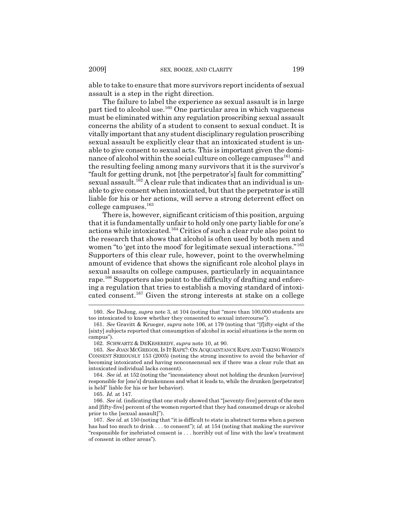able to take to ensure that more survivors report incidents of sexual assault is a step in the right direction.

The failure to label the experience as sexual assault is in large part tied to alcohol use.160 One particular area in which vagueness must be eliminated within any regulation proscribing sexual assault concerns the ability of a student to consent to sexual conduct. It is vitally important that any student disciplinary regulation proscribing sexual assault be explicitly clear that an intoxicated student is unable to give consent to sexual acts. This is important given the dominance of alcohol within the social culture on college campuses $^{161}$  and the resulting feeling among many survivors that it is the survivor's "fault for getting drunk, not [the perpetrator's] fault for committing" sexual assault.<sup>162</sup> A clear rule that indicates that an individual is unable to give consent when intoxicated, but that the perpetrator is still liable for his or her actions, will serve a strong deterrent effect on college campuses.<sup>163</sup>

There is, however, significant criticism of this position, arguing that it is fundamentally unfair to hold only one party liable for one's actions while intoxicated.164 Critics of such a clear rule also point to the research that shows that alcohol is often used by both men and women "to 'get into the mood' for legitimate sexual interactions."<sup>165</sup> Supporters of this clear rule, however, point to the overwhelming amount of evidence that shows the significant role alcohol plays in sexual assaults on college campuses, particularly in acquaintance rape.166 Supporters also point to the difficulty of drafting and enforcing a regulation that tries to establish a moving standard of intoxicated consent.<sup>167</sup> Given the strong interests at stake on a college

162. SCHWARTZ & DEKESEREDY, *supra* note 10, at 90.

164. *See id.* at 152 (noting the "inconsistency about not holding the drunken [survivor] responsible for [one's] drunkenness and what it leads to, while the drunken [perpetrator] is held" liable for his or her behavior).

165. *Id.* at 147.

166. *See id.* (indicating that one study showed that "[seventy-five] percent of the men and [fifty-five] percent of the women reported that they had consumed drugs or alcohol prior to the [sexual assault]").

<sup>160.</sup> *See* DeJong, *supra* note 3, at 104 (noting that "more than 100,000 students are too intoxicated to know whether they consented to sexual intercourse").

<sup>161.</sup> *See* Gravitt & Krueger, *supra* note 106, at 179 (noting that "[f]ifty-eight of the [sixty] subjects reported that consumption of alcohol in social situations is the norm on campus").

<sup>163.</sup> *See* JOAN MCGREGOR, IS IT RAPE?: ON ACQUAINTANCE RAPE AND TAKING WOMEN'S CONSENT SERIOUSLY 153 (2005) (noting the strong incentive to avoid the behavior of becoming intoxicated and having nonconsensual sex if there was a clear rule that an intoxicated individual lacks consent).

<sup>167.</sup> *See id.* at 150 (noting that "it is difficult to state in abstract terms when a person has had too much to drink . . . to consent"); *id.* at 154 (noting that making the survivor "responsible for inebriated consent is . . . horribly out of line with the law's treatment of consent in other areas").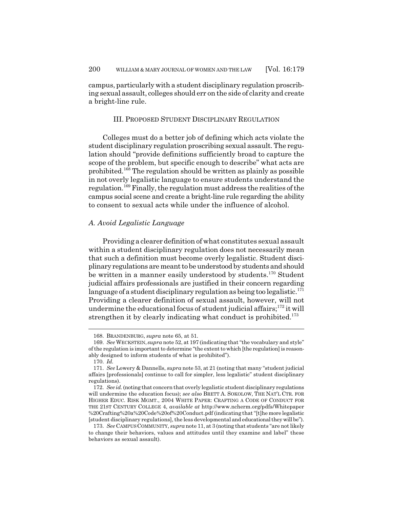campus, particularly with a student disciplinary regulation proscribing sexual assault, colleges should err on the side of clarity and create a bright-line rule.

#### III. PROPOSED STUDENT DISCIPLINARY REGULATION

Colleges must do a better job of defining which acts violate the student disciplinary regulation proscribing sexual assault. The regulation should "provide definitions sufficiently broad to capture the scope of the problem, but specific enough to describe" what acts are prohibited.168 The regulation should be written as plainly as possible in not overly legalistic language to ensure students understand the regulation.169 Finally, the regulation must address the realities of the campus social scene and create a bright-line rule regarding the ability to consent to sexual acts while under the influence of alcohol.

#### *A. Avoid Legalistic Language*

Providing a clearer definition of what constitutes sexual assault within a student disciplinary regulation does not necessarily mean that such a definition must become overly legalistic. Student disciplinary regulations are meant to be understood by students and should be written in a manner easily understood by students.<sup>170</sup> Student judicial affairs professionals are justified in their concern regarding language of a student disciplinary regulation as being too legalistic.<sup>171</sup> Providing a clearer definition of sexual assault, however, will not undermine the educational focus of student judicial affairs;<sup>172</sup> it will strengthen it by clearly indicating what conduct is prohibited.<sup>173</sup>

<sup>168.</sup> BRANDENBURG, *supra* note 65, at 51.

<sup>169.</sup> *See* WECKSTEIN, *supra* note 52, at 197 (indicating that "the vocabulary and style" of the regulation is important to determine "the extent to which [the regulation] is reasonably designed to inform students of what is prohibited").

<sup>170.</sup> *Id.*

<sup>171.</sup> *See* Lowery & Dannells, *supra* note 53, at 21 (noting that many "student judicial affairs [professionals] continue to call for simpler, less legalistic" student disciplinary regulations).

<sup>172.</sup> *See id.* (noting that concern that overly legalistic student disciplinary regulations will undermine the education focus); *see also* BRETT A. SOKOLOW, THE NAT'L CTR. FOR HIGHER EDUC. RISK MGMT., 2004 WHITE PAPER: CRAFTING A CODE OF CONDUCT FOR THE 21ST CENTURY COLLEGE 4, *available at* http://www.ncherm.org/pdfs/Whitepaper %20Crafting%20a%20Code%20of%20Conduct.pdf (indicating that "[t]he more legalistic [student disciplinary regulations], the less developmental and educational they will be").

<sup>173.</sup> *See* CAMPUS COMMUNITY, *supra* note 11, at 3 (noting that students "are not likely to change their behaviors, values and attitudes until they examine and label" these behaviors as sexual assault).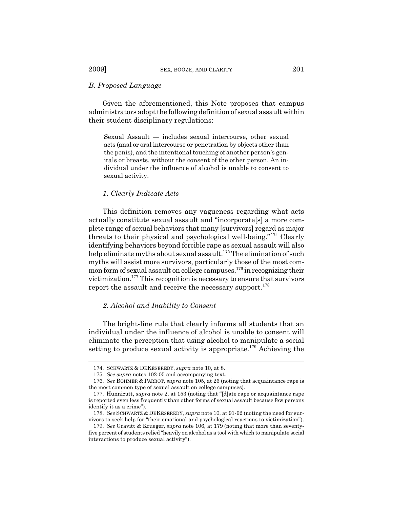#### *B. Proposed Language*

Given the aforementioned, this Note proposes that campus administrators adopt the following definition of sexual assault within their student disciplinary regulations:

Sexual Assault — includes sexual intercourse, other sexual acts (anal or oral intercourse or penetration by objects other than the penis), and the intentional touching of another person's genitals or breasts, without the consent of the other person. An individual under the influence of alcohol is unable to consent to sexual activity.

#### *1. Clearly Indicate Acts*

This definition removes any vagueness regarding what acts actually constitute sexual assault and "incorporate[s] a more complete range of sexual behaviors that many [survivors] regard as major threats to their physical and psychological well-being."174 Clearly identifying behaviors beyond forcible rape as sexual assault will also help eliminate myths about sexual assault.<sup>175</sup> The elimination of such myths will assist more survivors, particularly those of the most common form of sexual assault on college campuses,  $176$  in recognizing their victimization.177 This recognition is necessary to ensure that survivors report the assault and receive the necessary support.<sup>178</sup>

## *2. Alcohol and Inability to Consent*

The bright-line rule that clearly informs all students that an individual under the influence of alcohol is unable to consent will eliminate the perception that using alcohol to manipulate a social setting to produce sexual activity is appropriate.<sup>179</sup> Achieving the

<sup>174.</sup> SCHWARTZ & DEKESEREDY, *supra* note 10, at 8.

<sup>175.</sup> *See supra* notes 102-05 and accompanying text.

<sup>176.</sup> *See* BOHMER & PARROT, *supra* note 105, at 26 (noting that acquaintance rape is the most common type of sexual assault on college campuses).

<sup>177.</sup> Hunnicutt, *supra* note 2, at 153 (noting that "[d]ate rape or acquaintance rape is reported even less frequently than other forms of sexual assault because few persons identify it as a crime").

<sup>178.</sup> *See* SCHWARTZ & DEKESEREDY, *supra* note 10, at 91-92 (noting the need for survivors to seek help for "their emotional and psychological reactions to victimization").

<sup>179.</sup> *See* Gravitt & Krueger, *supra* note 106, at 179 (noting that more than seventyfive percent of students relied "heavily on alcohol as a tool with which to manipulate social interactions to produce sexual activity").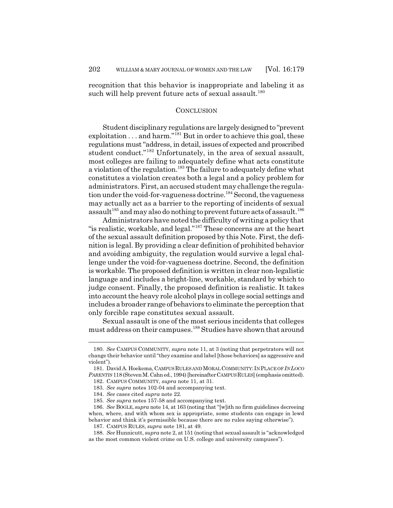recognition that this behavior is inappropriate and labeling it as such will help prevent future acts of sexual assault.<sup>180</sup>

#### **CONCLUSION**

Student disciplinary regulations are largely designed to "prevent exploitation  $\dots$  and harm."<sup>181</sup> But in order to achieve this goal, these regulations must "address, in detail, issues of expected and proscribed student conduct."<sup>182</sup> Unfortunately, in the area of sexual assault, most colleges are failing to adequately define what acts constitute a violation of the regulation.<sup>183</sup> The failure to adequately define what constitutes a violation creates both a legal and a policy problem for administrators. First, an accused student may challenge the regulation under the void-for-vagueness doctrine.<sup>184</sup> Second, the vagueness may actually act as a barrier to the reporting of incidents of sexual assault<sup>185</sup> and may also do nothing to prevent future acts of assault.<sup>186</sup>

Administrators have noted the difficulty of writing a policy that "is realistic, workable, and legal."187 These concerns are at the heart of the sexual assault definition proposed by this Note. First, the definition is legal. By providing a clear definition of prohibited behavior and avoiding ambiguity, the regulation would survive a legal challenge under the void-for-vagueness doctrine. Second, the definition is workable. The proposed definition is written in clear non-legalistic language and includes a bright-line, workable, standard by which to judge consent. Finally, the proposed definition is realistic. It takes into account the heavy role alcohol plays in college social settings and includes a broader range of behaviors to eliminate the perception that only forcible rape constitutes sexual assault.

Sexual assault is one of the most serious incidents that colleges must address on their campuses.188 Studies have shown that around

<sup>180.</sup> *See* CAMPUS COMMUNITY, *supra* note 11, at 3 (noting that perpetrators will not change their behavior until "they examine and label [those behaviors] as aggressive and violent").

<sup>181.</sup> David A. Hoekema, CAMPUS RULES AND MORAL COMMUNITY: IN PLACE OF *IN LOCO PARENTIS* 118 (Steven M. Cahn ed., 1994) [hereinafterCAMPUS RULES] (emphasis omitted).

<sup>182.</sup> CAMPUS COMMUNITY, *supra* note 11, at 31.

<sup>183.</sup> *See supra* notes 102-04 and accompanying text.

<sup>184.</sup> *See* cases cited *supra* note 22.

<sup>185.</sup> *See supra* notes 157-58 and accompanying text.

<sup>186.</sup> *See* BOGLE, *supra* note 14, at 163 (noting that "[w]ith no firm guidelines decreeing when, where, and with whom sex is appropriate, some students can engage in lewd behavior and think it's permissible because there are no rules saying otherwise").

<sup>187.</sup> CAMPUS RULES, *supra* note 181, at 49.

<sup>188.</sup> *See* Hunnicutt, *supra* note 2, at 151 (noting that sexual assault is "acknowledged as the most common violent crime on U.S. college and university campuses").